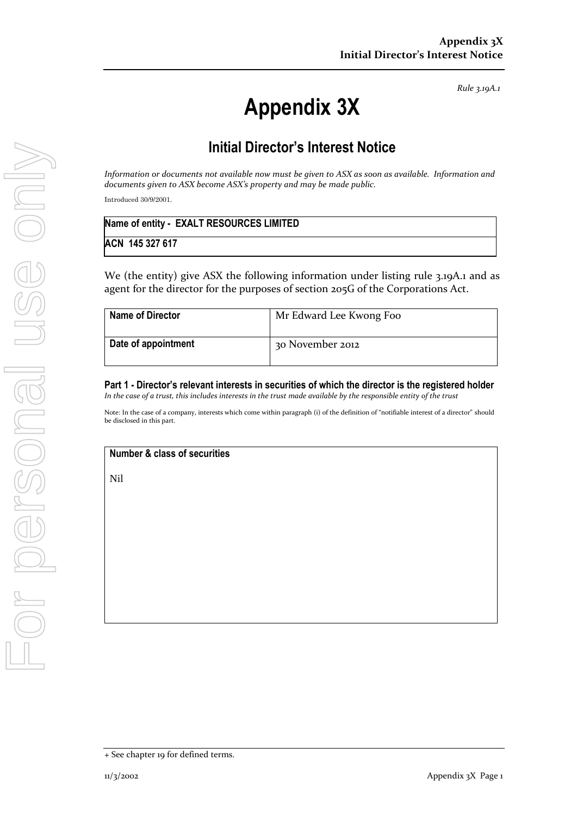*Rule 3.19A.1*

# **Appendix 3X**

# **Initial Director's Interest Notice**

*Information or documents not available now must be given to ASX as soon as available. Information and documents given to ASX become ASX's property and may be made public.*

Introduced 30/9/2001.

| Name of entity - EXALT RESOURCES LIMITED |  |
|------------------------------------------|--|
| ACN 145 327 617                          |  |

We (the entity) give ASX the following information under listing rule 3.19A.1 and as agent for the director for the purposes of section 205G of the Corporations Act.

| <b>Name of Director</b> | Mr Edward Lee Kwong Foo |
|-------------------------|-------------------------|
| Date of appointment     | 30 November 2012        |

**Part 1 - Director's relevant interests in securities of which the director is the registered holder** *In the case of a trust, this includes interests in the trust made available by the responsible entity of the trust*

Note: In the case of a company, interests which come within paragraph (i) of the definition of "notifiable interest of a director" should be disclosed in this part.

## **Number & class of securities**

Nil

<sup>+</sup> See chapter 19 for defined terms.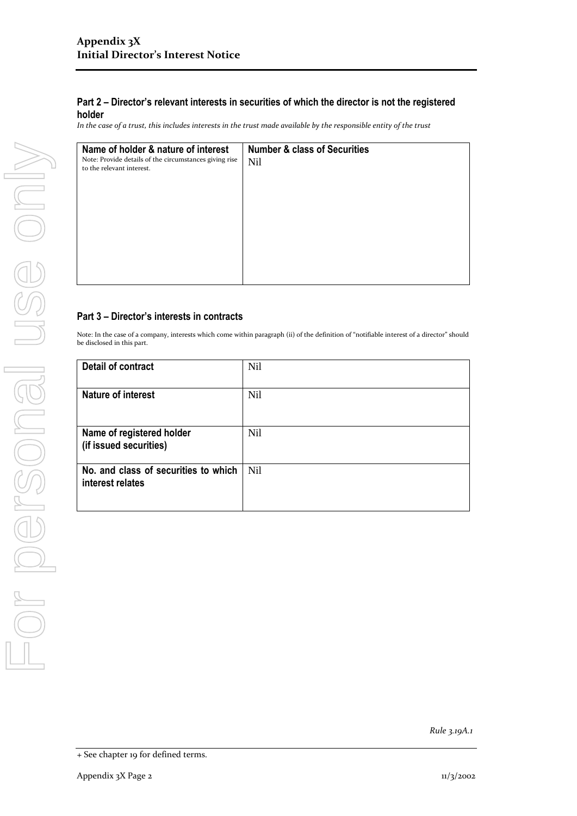*In the case of a trust, this includes interests in the trust made available by the responsible entity of the trust*

| Name of holder & nature of interest<br>Note: Provide details of the circumstances giving rise | <b>Number &amp; class of Securities</b><br><b>Nil</b> |
|-----------------------------------------------------------------------------------------------|-------------------------------------------------------|
| to the relevant interest.                                                                     |                                                       |
|                                                                                               |                                                       |
|                                                                                               |                                                       |
|                                                                                               |                                                       |
|                                                                                               |                                                       |
|                                                                                               |                                                       |

## **Part 3 – Director's interests in contracts**

Note: In the case of a company, interests which come within paragraph (ii) of the definition of "notifiable interest of a director" should be disclosed in this part.

| Detail of contract                                       | <b>Nil</b>      |
|----------------------------------------------------------|-----------------|
| <b>Nature of interest</b>                                | <b>Nil</b>      |
| Name of registered holder<br>(if issued securities)      | <b>Nil</b>      |
| No. and class of securities to which<br>interest relates | N <sub>il</sub> |

*Rule 3.19A.1*

<sup>+</sup> See chapter 19 for defined terms.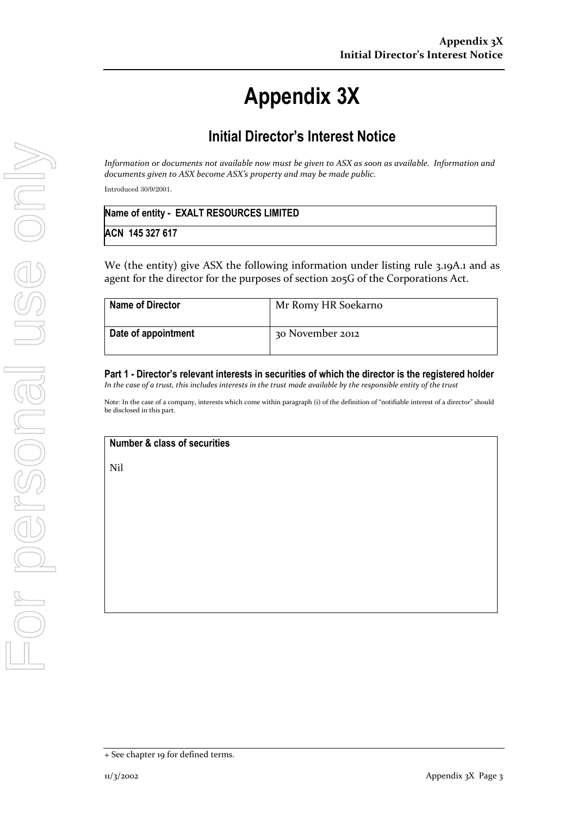# **Appendix 3X**

# **Initial Director's Interest Notice**

*Information or documents not available now must be given to ASX as soon as available. Information and documents given to ASX become ASX's property and may be made public.*

Introduced 30/9/2001.

| Name of entity - EXALT RESOURCES LIMITED |  |
|------------------------------------------|--|
| ACN 145 327 617                          |  |

We (the entity) give ASX the following information under listing rule 3.19A.1 and as agent for the director for the purposes of section 205G of the Corporations Act.

| <b>Name of Director</b> | Mr Romy HR Soekarno |
|-------------------------|---------------------|
| Date of appointment     | 30 November 2012    |

**Part 1 - Director's relevant interests in securities of which the director is the registered holder** *In the case of a trust, this includes interests in the trust made available by the responsible entity of the trust*

Note: In the case of a company, interests which come within paragraph (i) of the definition of "notifiable interest of a director" should be disclosed in this part.

## **Number & class of securities**

Nil

<sup>+</sup> See chapter 19 for defined terms.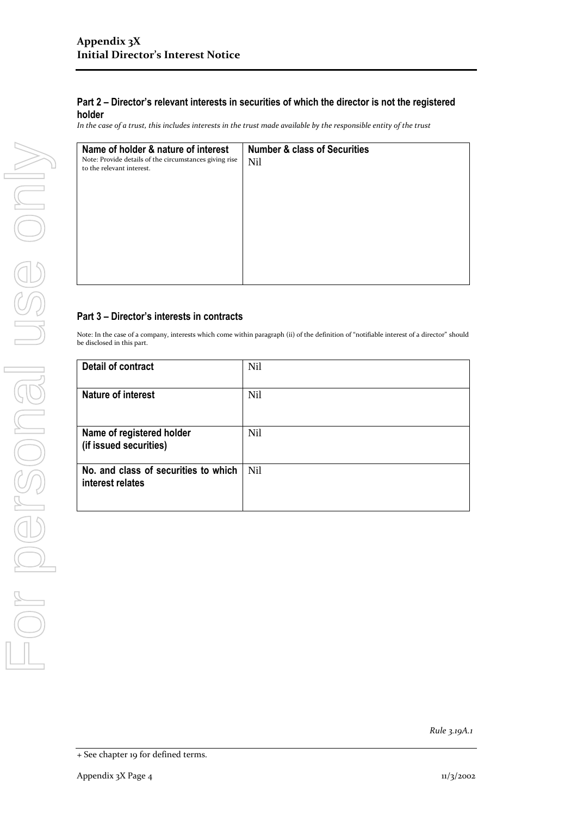*In the case of a trust, this includes interests in the trust made available by the responsible entity of the trust*

| Name of holder & nature of interest<br>Note: Provide details of the circumstances giving rise | <b>Number &amp; class of Securities</b><br><b>Nil</b> |
|-----------------------------------------------------------------------------------------------|-------------------------------------------------------|
| to the relevant interest.                                                                     |                                                       |
|                                                                                               |                                                       |
|                                                                                               |                                                       |
|                                                                                               |                                                       |
|                                                                                               |                                                       |
|                                                                                               |                                                       |

### **Part 3 – Director's interests in contracts**

Note: In the case of a company, interests which come within paragraph (ii) of the definition of "notifiable interest of a director" should be disclosed in this part.

| Detail of contract                                       | <b>Nil</b>      |
|----------------------------------------------------------|-----------------|
| <b>Nature of interest</b>                                | <b>Nil</b>      |
| Name of registered holder<br>(if issued securities)      | <b>Nil</b>      |
| No. and class of securities to which<br>interest relates | N <sub>il</sub> |

*Rule 3.19A.1*

<sup>+</sup> See chapter 19 for defined terms.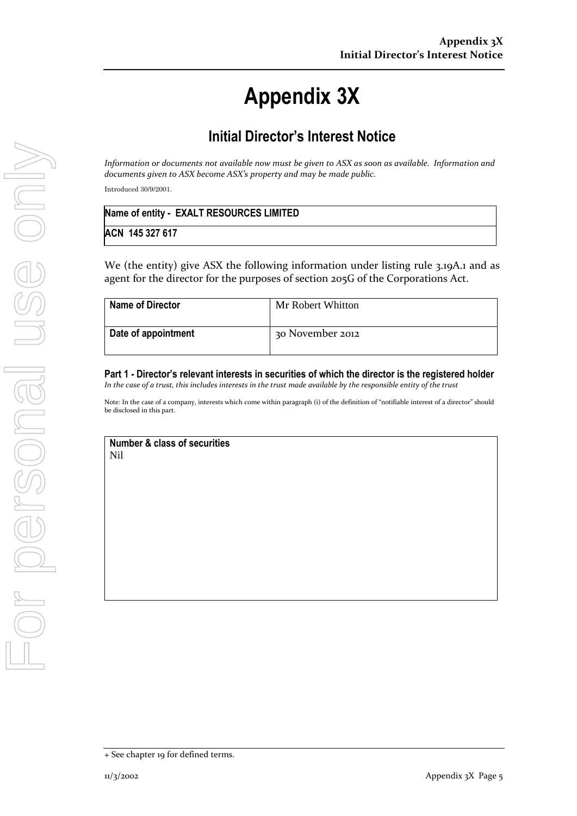# **Appendix 3X**

# **Initial Director's Interest Notice**

*Information or documents not available now must be given to ASX as soon as available. Information and documents given to ASX become ASX's property and may be made public.*

Introduced 30/9/2001.

| Name of entity - EXALT RESOURCES LIMITED |  |
|------------------------------------------|--|
| ACN 145 327 617                          |  |

We (the entity) give ASX the following information under listing rule 3.19A.1 and as agent for the director for the purposes of section 205G of the Corporations Act.

| <b>Name of Director</b> | Mr Robert Whitton |
|-------------------------|-------------------|
| Date of appointment     | 30 November 2012  |

**Part 1 - Director's relevant interests in securities of which the director is the registered holder** *In the case of a trust, this includes interests in the trust made available by the responsible entity of the trust*

Note: In the case of a company, interests which come within paragraph (i) of the definition of "notifiable interest of a director" should be disclosed in this part.

### **Number & class of securities** Nil

<sup>+</sup> See chapter 19 for defined terms.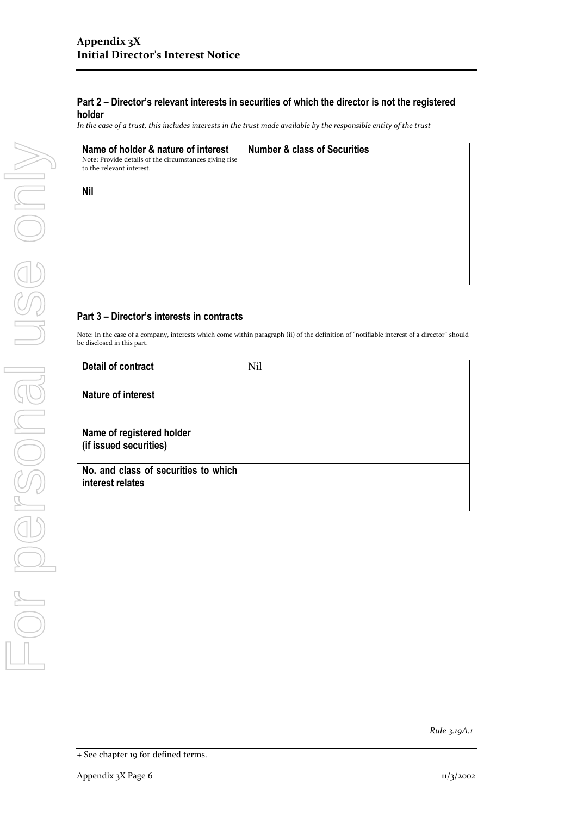*In the case of a trust, this includes interests in the trust made available by the responsible entity of the trust*

| Name of holder & nature of interest<br>Note: Provide details of the circumstances giving rise<br>to the relevant interest. | <b>Number &amp; class of Securities</b> |  |
|----------------------------------------------------------------------------------------------------------------------------|-----------------------------------------|--|
| <b>Nil</b>                                                                                                                 |                                         |  |
|                                                                                                                            |                                         |  |
|                                                                                                                            |                                         |  |
|                                                                                                                            |                                         |  |

## **Part 3 – Director's interests in contracts**

Note: In the case of a company, interests which come within paragraph (ii) of the definition of "notifiable interest of a director" should be disclosed in this part.

| <b>Detail of contract</b>                                | Nil |
|----------------------------------------------------------|-----|
| <b>Nature of interest</b>                                |     |
| Name of registered holder<br>(if issued securities)      |     |
| No. and class of securities to which<br>interest relates |     |

*Rule 3.19A.1*

<sup>+</sup> See chapter 19 for defined terms.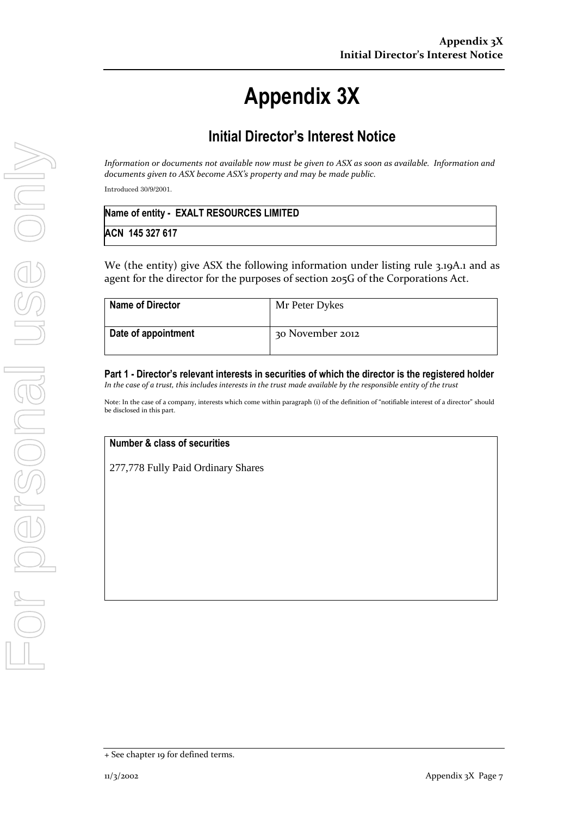# **Appendix 3X**

# **Initial Director's Interest Notice**

*Information or documents not available now must be given to ASX as soon as available. Information and documents given to ASX become ASX's property and may be made public.*

Introduced 30/9/2001.

| Name of entity - EXALT RESOURCES LIMITED |  |
|------------------------------------------|--|
| ACN 145 327 617                          |  |

We (the entity) give ASX the following information under listing rule 3.19A.1 and as agent for the director for the purposes of section 205G of the Corporations Act.

| <b>Name of Director</b> | Mr Peter Dykes   |
|-------------------------|------------------|
| Date of appointment     | 30 November 2012 |

**Part 1 - Director's relevant interests in securities of which the director is the registered holder** *In the case of a trust, this includes interests in the trust made available by the responsible entity of the trust*

Note: In the case of a company, interests which come within paragraph (i) of the definition of "notifiable interest of a director" should be disclosed in this part.

## **Number & class of securities**

277,778 Fully Paid Ordinary Shares

<sup>+</sup> See chapter 19 for defined terms.